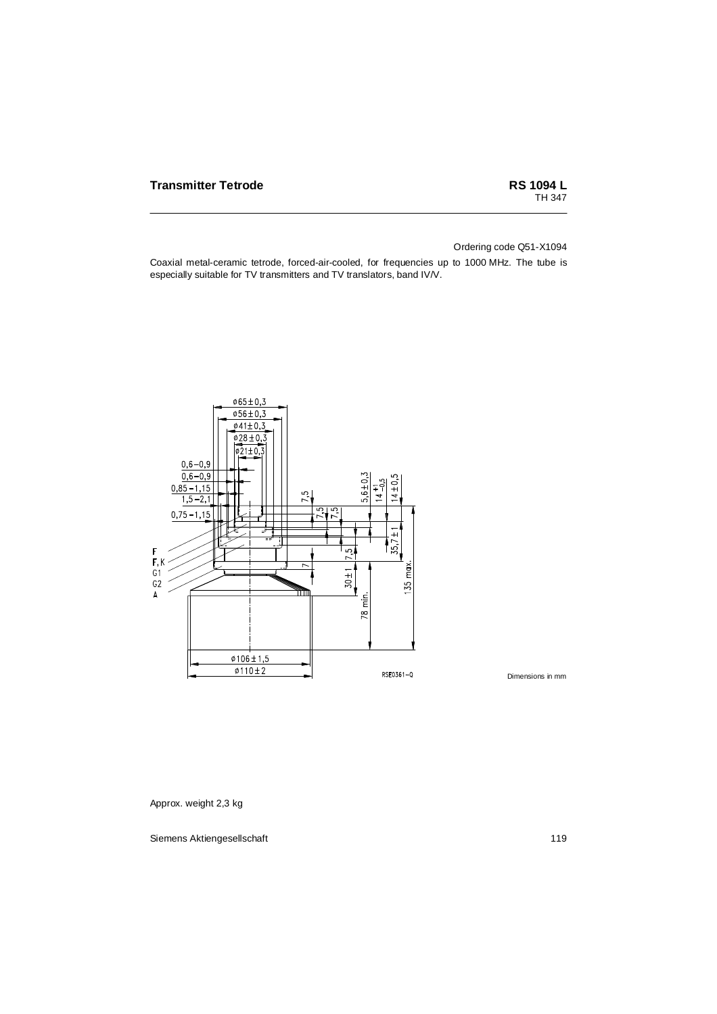Ordering code Q51-X1094

Coaxial metal-ceramic tetrode, forced-air-cooled, for frequencies up to 1000 MHz. The tube is especially suitable for TV transmitters and TV translators, band IV/V.



Dimensions in mm

Approx. weight 2,3 kg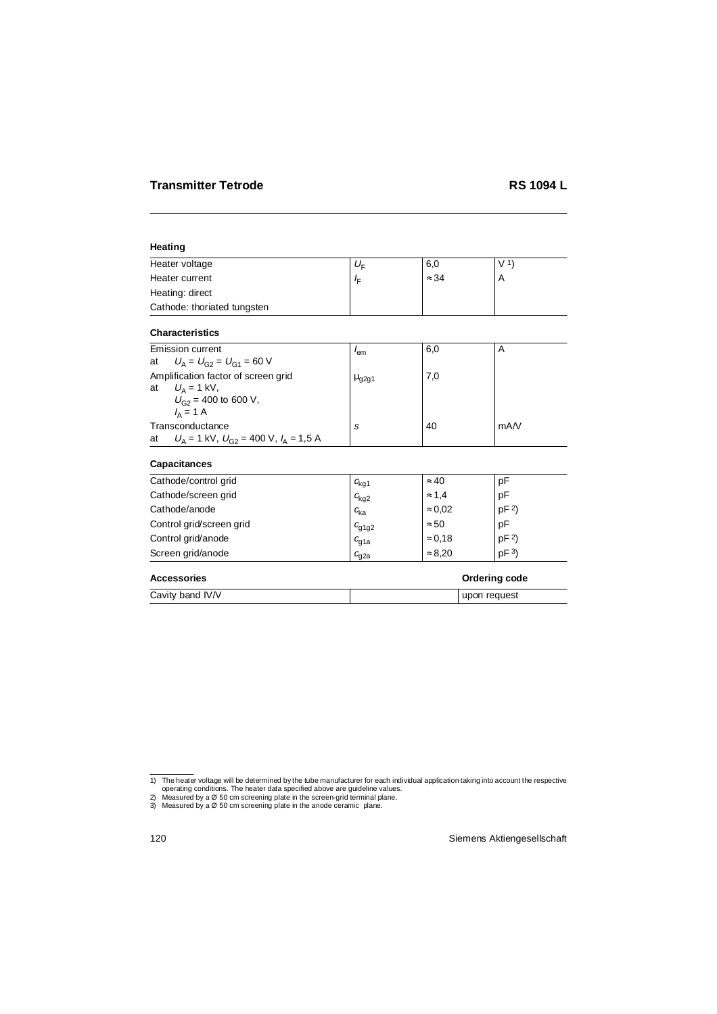### **Heating**

| Heater voltage              | $U_{\rm F}$ | 6,0          | V <sub>1</sub> |
|-----------------------------|-------------|--------------|----------------|
| Heater current              | י ⊿         | $\approx$ 34 |                |
| Heating: direct             |             |              |                |
| Cathode: thoriated tungsten |             |              |                |

## **Characteristics**

|    | Emission current                              | lem                   | 6,0 | A    |
|----|-----------------------------------------------|-----------------------|-----|------|
| at | $U_{\rm A} = U_{\rm G2} = U_{\rm G1} = 60$ V  |                       |     |      |
|    | Amplification factor of screen grid           | $\mu$ <sub>q2q1</sub> | 7,0 |      |
| at | $U_{\rm A}$ = 1 kV,                           |                       |     |      |
|    | $U_{G2}$ = 400 to 600 V,                      |                       |     |      |
|    | $I_{\Delta} = 1$ A                            |                       |     |      |
|    | Transconductance                              | S                     | 40  | mA/V |
| at | $U_A = 1$ kV, $U_{G2} = 400$ V, $I_A = 1,5$ A |                       |     |      |

## **Capacitances**

| Cathode/control grid     | $c_{\text{kg1}}$  | $\approx 40$   | рF              |
|--------------------------|-------------------|----------------|-----------------|
| Cathode/screen grid      | $c_{\text{kg2}}$  | $\approx$ 1.4  | pF              |
| Cathode/anode            | $c_{\rm ka}$      | $\approx 0.02$ | pF <sup>2</sup> |
| Control grid/screen grid | $c_{\text{g1g2}}$ | $\approx 50$   | pF              |
| Control grid/anode       | $c_{q1a}$         | $\approx 0.18$ | pF <sup>2</sup> |
| Screen grid/anode        | $c_{\alpha 2a}$   | $\approx 8.20$ | pF <sup>3</sup> |

## Accessories **Contract Contract Contract Contract Contract Contract Contract Contract Contract Contract Contract Contract Contract Contract Contract Contract Contract Contract Contract Contract Contract Contract Contract Co**

| Cavity band IV/V | reguest<br>upon |
|------------------|-----------------|

<sup>1)</sup> The heater voltage will be determined by the tube manufacturer for each individual application taking into account the respective operating conditions. The heater data specified above are guideline values.

<sup>2)</sup> Measured by a Ø 50 cm screening plate in the screen-grid terminal plane.

<sup>3)</sup> Measured by a Ø 50 cm screening plate in the anode ceramic plane.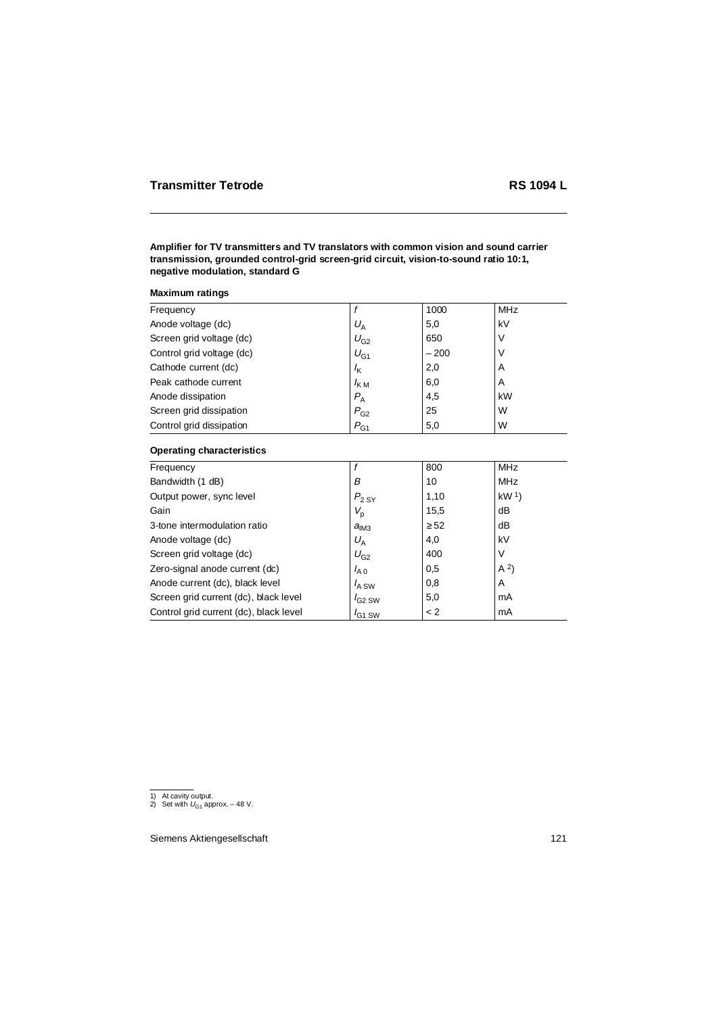## **Amplifier for TV transmitters and TV translators with common vision and sound carrier transmission, grounded control-grid screen-grid circuit, vision-to-sound ratio 10:1, negative modulation, standard G**

|  | <b>Maximum ratings</b> |  |
|--|------------------------|--|
|--|------------------------|--|

|                  | 1000   | <b>MHz</b> |
|------------------|--------|------------|
| $U_A$            | 5,0    | kV         |
| $U_{G2}$         | 650    | V          |
| $U_{G1}$         | $-200$ | V          |
| $I_{\mathsf{K}}$ | 2,0    | A          |
| $I_{\rm KM}$     | 6,0    | A          |
| $P_{\rm A}$      | 4,5    | kW         |
| $P_{G2}$         | 25     | W          |
| $P_{G1}$         | 5,0    | W          |
|                  |        |            |

### **Operating characteristics**

|                    | 800       | <b>MHz</b>        |
|--------------------|-----------|-------------------|
| В                  | 10        | <b>MHz</b>        |
| $P_{2\,\text{SY}}$ | 1,10      | kW <sup>1</sup>   |
| $V_{\sf p}$        | 15,5      | dB                |
| a <sub>IM3</sub>   | $\geq$ 52 | dB                |
| $U_{\rm A}$        | 4,0       | kV                |
| $U_{G2}$           | 400       | V                 |
| $I_{A,0}$          | 0,5       | (A <sup>2</sup> ) |
| $I_{A}$ SW         | 0,8       | A                 |
| $I_{G2}$ SW        | 5,0       | mA                |
| $I_{G1}$ SW        | < 2       | mA                |
|                    |           |                   |

<sup>1)</sup> At cavity output.

<sup>2)</sup> Set with  $U_{G1}$  approx. – 48 V.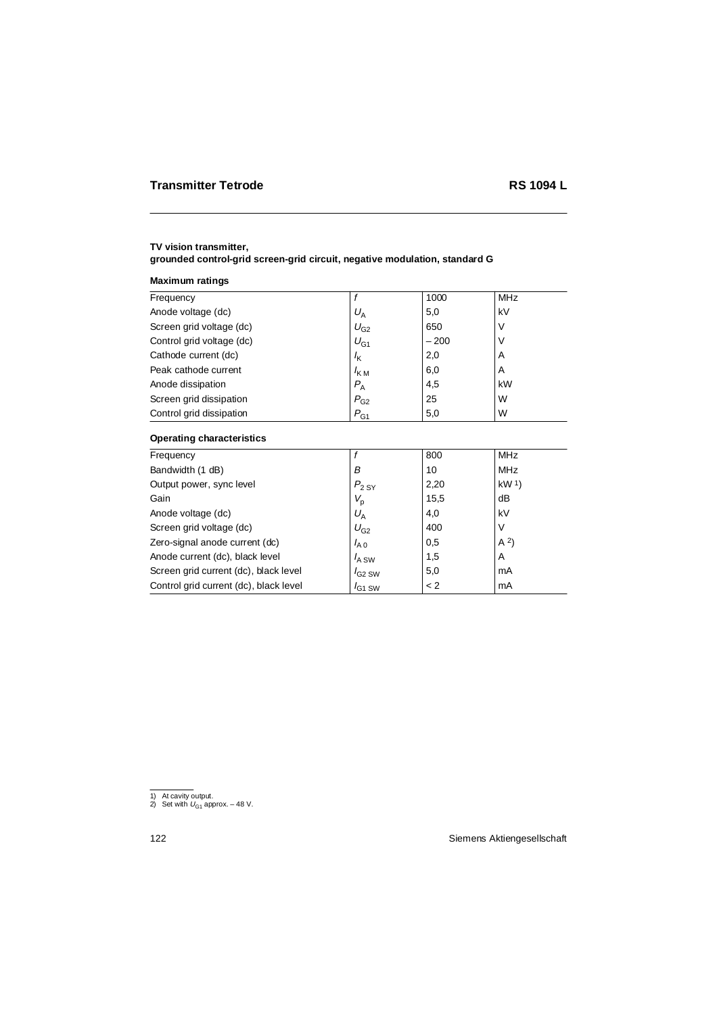# **TV vision transmitter,**

# **grounded control-grid screen-grid circuit, negative modulation, standard G**

### **Maximum ratings**

# **Operating characteristics**

| Frequency                              |             | 800  | <b>MHz</b>      |
|----------------------------------------|-------------|------|-----------------|
| Bandwidth (1 dB)                       | в           | 10   | <b>MHz</b>      |
| Output power, sync level               | $P_{2\,SY}$ | 2,20 | kW <sup>1</sup> |
| Gain                                   | $V_{\rm p}$ | 15,5 | dB              |
| Anode voltage (dc)                     | $U_A$       | 4,0  | kV              |
| Screen grid voltage (dc)               | $U_{G2}$    | 400  | V               |
| Zero-signal anode current (dc)         | $I_{A0}$    | 0,5  | A <sup>2</sup>  |
| Anode current (dc), black level        | $I_{A}$ SW  | 1,5  | A               |
| Screen grid current (dc), black level  | $I_{G2}$ SW | 5,0  | mA              |
| Control grid current (dc), black level | $I_{G1}$ SW | < 2  | mA              |

<sup>1)</sup> At cavity output.

<sup>2)</sup> Set with  $U_{G1}$  approx. – 48 V.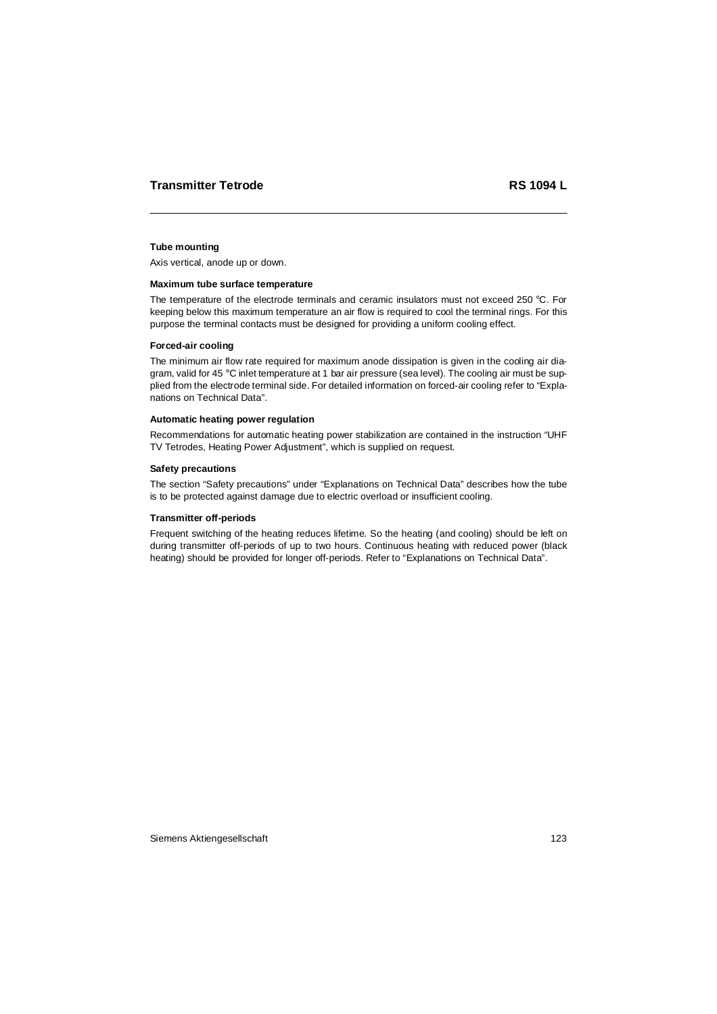### **Tube mounting**

Axis vertical, anode up or down.

#### **Maximum tube surface temperature**

The temperature of the electrode terminals and ceramic insulators must not exceed 250 °C. For keeping below this maximum temperature an air flow is required to cool the terminal rings. For this purpose the terminal contacts must be designed for providing a uniform cooling effect.

### **Forced-air cooling**

The minimum air flow rate required for maximum anode dissipation is given in the cooling air diagram, valid for 45 °C inlet temperature at 1 bar air pressure (sea level). The cooling air must be supplied from the electrode terminal side. For detailed information on forced-air cooling refer to "Explanations on Technical Data".

#### **Automatic heating power regulation**

Recommendations for automatic heating power stabilization are contained in the instruction "UHF TV Tetrodes, Heating Power Adjustment", which is supplied on request.

#### **Safety precautions**

The section "Safety precautions" under "Explanations on Technical Data" describes how the tube is to be protected against damage due to electric overload or insufficient cooling.

### **Transmitter off-periods**

Frequent switching of the heating reduces lifetime. So the heating (and cooling) should be left on during transmitter off-periods of up to two hours. Continuous heating with reduced power (black heating) should be provided for longer off-periods. Refer to "Explanations on Technical Data".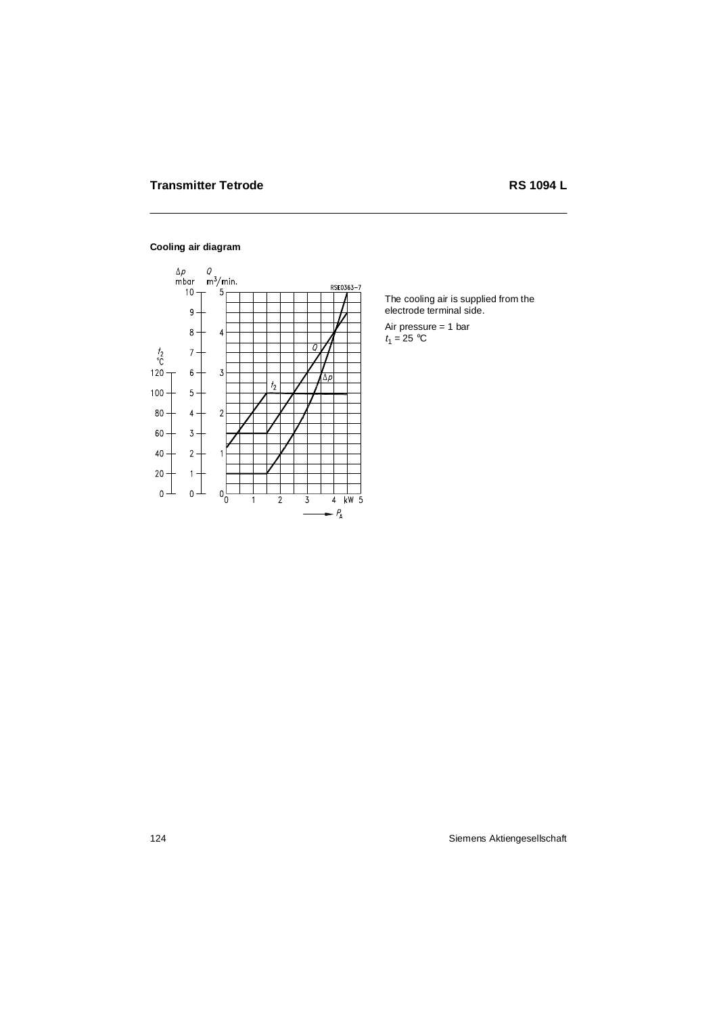# **Cooling air diagram**



The cooling air is supplied from the electrode terminal side.

Air pressure = 1 bar  $t_1 = 25$  °C